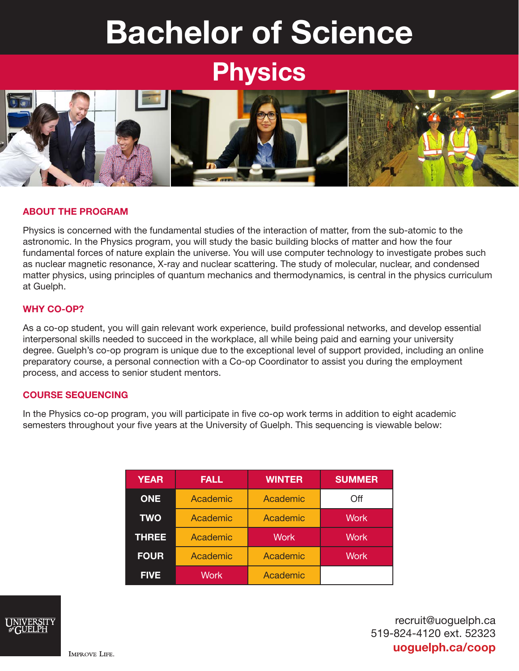# Bachelor of Science

## **Physics**



#### ABOUT THE PROGRAM

Physics is concerned with the fundamental studies of the interaction of matter, from the sub-atomic to the astronomic. In the Physics program, you will study the basic building blocks of matter and how the four fundamental forces of nature explain the universe. You will use computer technology to investigate probes such as nuclear magnetic resonance, X-ray and nuclear scattering. The study of molecular, nuclear, and condensed matter physics, using principles of quantum mechanics and thermodynamics, is central in the physics curriculum at Guelph.

#### WHY CO-OP?

As a co-op student, you will gain relevant work experience, build professional networks, and develop essential interpersonal skills needed to succeed in the workplace, all while being paid and earning your university degree. Guelph's co-op program is unique due to the exceptional level of support provided, including an online preparatory course, a personal connection with a Co-op Coordinator to assist you during the employment process, and access to senior student mentors.

#### COURSE SEQUENCING

In the Physics co-op program, you will participate in five co-op work terms in addition to eight academic semesters throughout your five years at the University of Guelph. This sequencing is viewable below:

| <b>YEAR</b>  | <b>FALL</b> | <b>WINTER</b> | <b>SUMMER</b> |
|--------------|-------------|---------------|---------------|
| <b>ONE</b>   | Academic    | Academic      | Off           |
| <b>TWO</b>   | Academic    | Academic      | <b>Work</b>   |
| <b>THREE</b> | Academic    | <b>Work</b>   | <b>Work</b>   |
| <b>FOUR</b>  | Academic    | Academic      | <b>Work</b>   |
| <b>FIVE</b>  | <b>Work</b> | Academic      |               |



recruit@uoguelph.ca 519-824-4120 ext. 52323 uoguelph.ca/coop